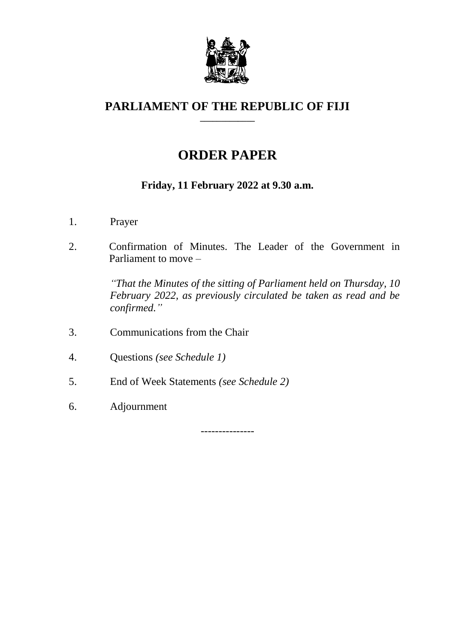

#### **PARLIAMENT OF THE REPUBLIC OF FIJI \_\_\_\_\_\_\_\_\_\_\_\_\_**

# **ORDER PAPER**

## **Friday, 11 February 2022 at 9.30 a.m.**

- 1. Prayer
- 2. Confirmation of Minutes. The Leader of the Government in Parliament to move –

*"That the Minutes of the sitting of Parliament held on Thursday, 10 February 2022, as previously circulated be taken as read and be confirmed."*

- 3. Communications from the Chair
- 4. Questions *(see Schedule 1)*
- 5. End of Week Statements *(see Schedule 2)*
- 6. Adjournment

---------------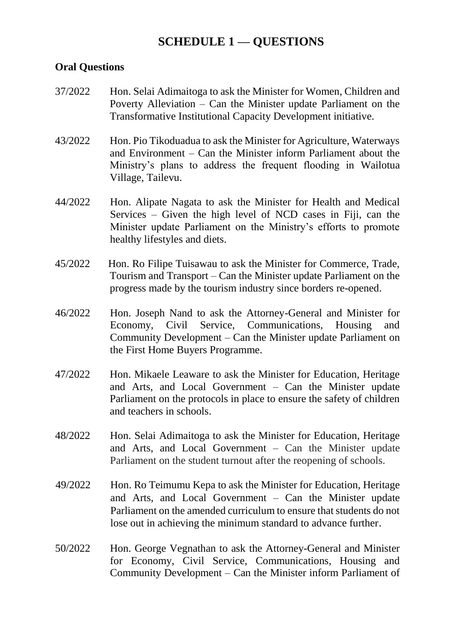## **SCHEDULE 1 — QUESTIONS**

#### **Oral Questions**

- 37/2022 Hon. Selai Adimaitoga to ask the Minister for Women, Children and Poverty Alleviation – Can the Minister update Parliament on the Transformative Institutional Capacity Development initiative.
- 43/2022 Hon. Pio Tikoduadua to ask the Minister for Agriculture, Waterways and Environment – Can the Minister inform Parliament about the Ministry's plans to address the frequent flooding in Wailotua Village, Tailevu.
- 44/2022 Hon. Alipate Nagata to ask the Minister for Health and Medical Services – Given the high level of NCD cases in Fiji, can the Minister update Parliament on the Ministry's efforts to promote healthy lifestyles and diets.
- 45/2022 Hon. Ro Filipe Tuisawau to ask the Minister for Commerce, Trade, Tourism and Transport – Can the Minister update Parliament on the progress made by the tourism industry since borders re-opened.
- 46/2022 Hon. Joseph Nand to ask the Attorney-General and Minister for Economy, Civil Service, Communications, Housing and Community Development – Can the Minister update Parliament on the First Home Buyers Programme.
- 47/2022 Hon. Mikaele Leaware to ask the Minister for Education, Heritage and Arts, and Local Government – Can the Minister update Parliament on the protocols in place to ensure the safety of children and teachers in schools.
- 48/2022 Hon. Selai Adimaitoga to ask the Minister for Education, Heritage and Arts, and Local Government – Can the Minister update Parliament on the student turnout after the reopening of schools.
- 49/2022 Hon. Ro Teimumu Kepa to ask the Minister for Education, Heritage and Arts, and Local Government – Can the Minister update Parliament on the amended curriculum to ensure that students do not lose out in achieving the minimum standard to advance further.
- 50/2022 Hon. George Vegnathan to ask the Attorney-General and Minister for Economy, Civil Service, Communications, Housing and Community Development – Can the Minister inform Parliament of